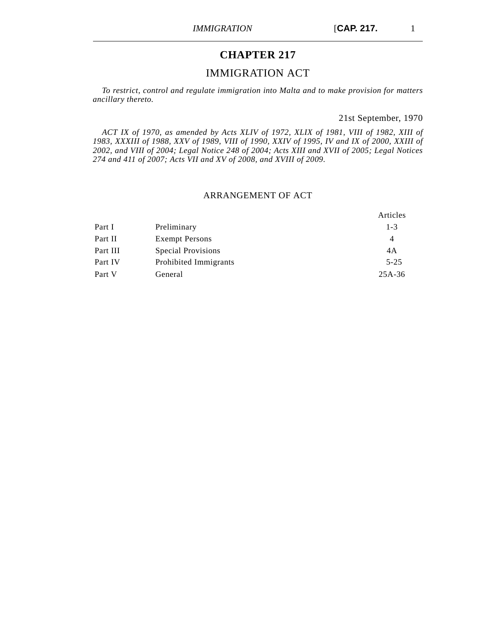# **CHAPTER 217**

# IMMIGRATION ACT

*To restrict, control and regulate immigration into Malta and to make provision for matters ancillary thereto.*

21st September, 1970

*ACT IX of 1970, as amended by Acts XLIV of 1972, XLIX of 1981, VIII of 1982, XIII of 1983, XXXIII of 1988, XXV of 1989, VIII of 1990, XXIV of 1995, IV and IX of 2000, XXIII of 2002, and VIII of 2004; Legal Notice 248 of 2004; Acts XIII and XVII of 2005; Legal Notices 274 and 411 of 2007; Acts VII and XV of 2008, and XVIII of 2009.*

## ARRANGEMENT OF ACT

|          |                       | Articles |
|----------|-----------------------|----------|
| Part I   | Preliminary           | $1 - 3$  |
| Part II  | <b>Exempt Persons</b> | 4        |
| Part III | Special Provisions    | 4A       |
| Part IV  | Prohibited Immigrants | $5 - 25$ |
| Part V   | General               | $25A-36$ |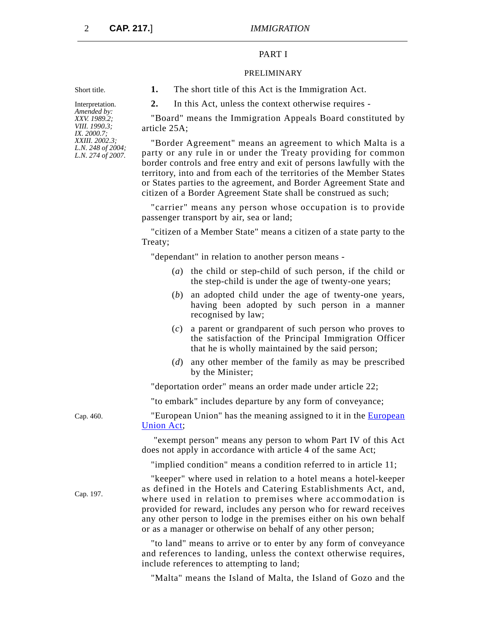## PART I

#### PRELIMINARY

Short title. **1.** The short title of this Act is the Immigration Act.

**2.** In this Act, unless the context otherwise requires -

"Board" means the Immigration Appeals Board constituted by article 25A;

"Border Agreement" means an agreement to which Malta is a party or any rule in or under the Treaty providing for common border controls and free entry and exit of persons lawfully with the territory, into and from each of the territories of the Member States or States parties to the agreement, and Border Agreement State and citizen of a Border Agreement State shall be construed as such;

"carrier" means any person whose occupation is to provide passenger transport by air, sea or land;

"citizen of a Member State" means a citizen of a state party to the Treaty;

"dependant" in relation to another person means -

- (*a*) the child or step-child of such person, if the child or the step-child is under the age of twenty-one years;
- (*b*) an adopted child under the age of twenty-one years, having been adopted by such person in a manner recognised by law;
- (*c*) a parent or grandparent of such person who proves to the satisfaction of the Principal Immigration Officer that he is wholly maintained by the said person;
- (*d*) any other member of the family as may be prescribed by the Minister;

"deportation order" means an order made under article 22;

"to embark" includes departure by any form of conveyance;

Cap. 460. "European Union" has the meaning assigned to it in the [European](http://www.justiceservices.gov.mt/DownloadDocument.aspx?app=lom&itemid=8926&l=1) [Union Act;](http://www.justiceservices.gov.mt/DownloadDocument.aspx?app=lom&itemid=8926&l=1)

> "exempt person" means any person to whom Part IV of this Act does not apply in accordance with article 4 of the same Act;

"implied condition" means a condition referred to in article 11;

"keeper" where used in relation to a hotel means a hotel-keeper as defined in the Hotels and Catering Establishments Act, and, where used in relation to premises where accommodation is provided for reward, includes any person who for reward receives any other person to lodge in the premises either on his own behalf or as a manager or otherwise on behalf of any other person;

"to land" means to arrive or to enter by any form of conveyance and references to landing, unless the context otherwise requires, include references to attempting to land;

"Malta" means the Island of Malta, the Island of Gozo and the

Interpretation. *Amended by: XXV. 1989.2; VIII. 1990.3; IX. 2000.7; XXIII. 2002.3; L.N. 248 of 2004; L.N. 274 of 2007.*

Cap. 197.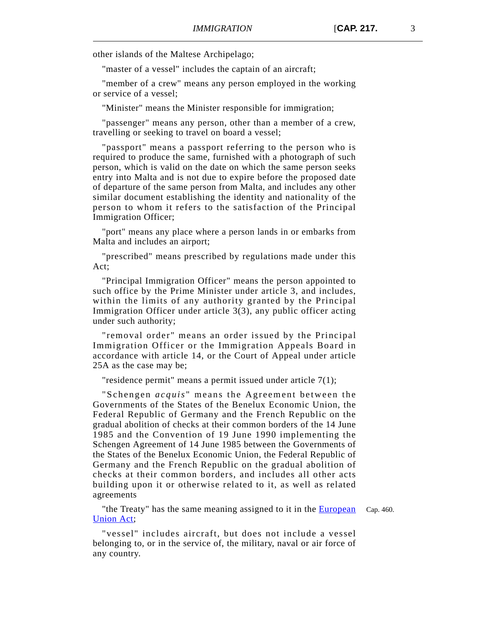other islands of the Maltese Archipelago;

"master of a vessel" includes the captain of an aircraft;

"member of a crew" means any person employed in the working or service of a vessel;

"Minister" means the Minister responsible for immigration;

"passenger" means any person, other than a member of a crew, travelling or seeking to travel on board a vessel;

"passport" means a passport referring to the person who is required to produce the same, furnished with a photograph of such person, which is valid on the date on which the same person seeks entry into Malta and is not due to expire before the proposed date of departure of the same person from Malta, and includes any other similar document establishing the identity and nationality of the person to whom it refers to the satisfaction of the Principal Immigration Officer;

"port" means any place where a person lands in or embarks from Malta and includes an airport;

"prescribed" means prescribed by regulations made under this Act;

"Principal Immigration Officer" means the person appointed to such office by the Prime Minister under article 3, and includes, within the limits of any authority granted by the Principal Immigration Officer under article 3(3), any public officer acting under such authority;

"removal order" means an order issued by the Principal Immigration Officer or the Immigration Appeals Board in accordance with article 14, or the Court of Appeal under article 25A as the case may be;

"residence permit" means a permit issued under article 7(1);

"Schengen *acquis* " means the Agreement between the Governments of the States of the Benelux Economic Union, the Federal Republic of Germany and the French Republic on the gradual abolition of checks at their common borders of the 14 June 1985 and the Convention of 19 June 1990 implementing the Schengen Agreement of 14 June 1985 between the Governments of the States of the Benelux Economic Union, the Federal Republic of Germany and the French Republic on the gradual abolition of checks at their common borders, and includes all other acts building upon it or otherwise related to it, as well as related agreements

"the Treaty" has the same meaning assigned to it in the [European](http://www.justiceservices.gov.mt/DownloadDocument.aspx?app=lom&itemid=8926&l=1) Cap. 460. [Union Act;](http://www.justiceservices.gov.mt/DownloadDocument.aspx?app=lom&itemid=8926&l=1)

"vessel" includes aircraft, but does not include a vessel belonging to, or in the service of, the military, naval or air force of any country.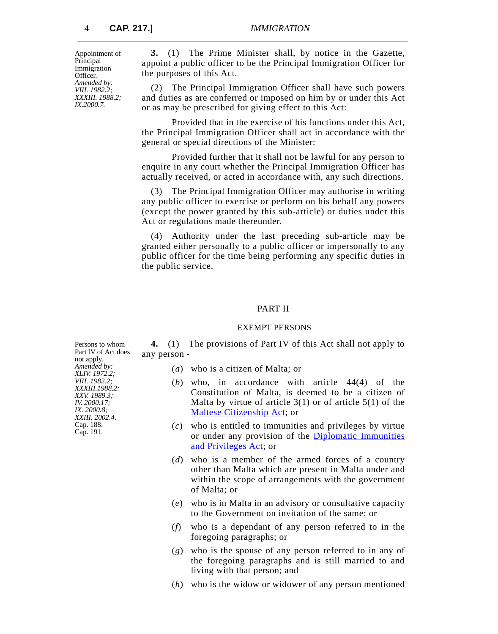Appointment of Principal Immigration Officer. *Amended by: VIII. 1982.2; XXXIII. 1988.2; IX.2000.7.*

**3.** (1) The Prime Minister shall, by notice in the Gazette, appoint a public officer to be the Principal Immigration Officer for the purposes of this Act.

(2) The Principal Immigration Officer shall have such powers and duties as are conferred or imposed on him by or under this Act or as may be prescribed for giving effect to this Act:

Provided that in the exercise of his functions under this Act, the Principal Immigration Officer shall act in accordance with the general or special directions of the Minister:

Provided further that it shall not be lawful for any person to enquire in any court whether the Principal Immigration Officer has actually received, or acted in accordance with, any such directions.

(3) The Principal Immigration Officer may authorise in writing any public officer to exercise or perform on his behalf any powers (except the power granted by this sub-article) or duties under this Act or regulations made thereunder.

(4) Authority under the last preceding sub-article may be granted either personally to a public officer or impersonally to any public officer for the time being performing any specific duties in the public service.

### PART II

## EXEMPT PERSONS

**4.** (1) The provisions of Part IV of this Act shall not apply to any person -

- (*a*) who is a citizen of Malta; or
- (*b*) who, in accordance with article 44(4) of the Constitution of Malta, is deemed to be a citizen of Malta by virtue of article  $3(1)$  or of article  $5(1)$  of the [Maltese Citizenship Act](http://www.justiceservices.gov.mt/DownloadDocument.aspx?app=lom&itemid=8702&l=1); or
- (*c*) who is entitled to immunities and privileges by virtue or under any provision of the **[Diplomatic Immunities](http://www.justiceservices.gov.mt/DownloadDocument.aspx?app=lom&itemid=8704&l=1)** [and Privileges Act](http://www.justiceservices.gov.mt/DownloadDocument.aspx?app=lom&itemid=8704&l=1); or
- (*d*) who is a member of the armed forces of a country other than Malta which are present in Malta under and within the scope of arrangements with the government of Malta; or
- (*e*) who is in Malta in an advisory or consultative capacity to the Government on invitation of the same; or
- (*f*) who is a dependant of any person referred to in the foregoing paragraphs; or
- (*g*) who is the spouse of any person referred to in any of the foregoing paragraphs and is still married to and living with that person; and
- (*h*) who is the widow or widower of any person mentioned

Persons to whom Part IV of Act does not apply. *Amended by: XLIV. 1972.2; VIII. 1982.2; XXXIII.1988.2: XXV. 1989.3; IV. 2000.17; IX. 2000.8; XXIII. 2002.4.* Cap. 188. Cap. 191.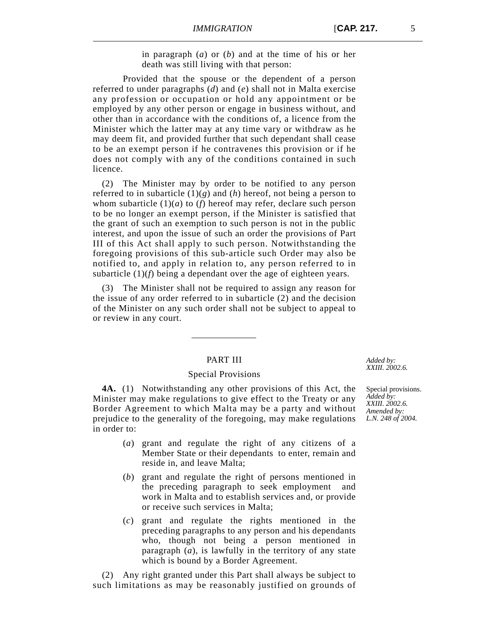in paragraph (*a*) or (*b*) and at the time of his or her death was still living with that person:

Provided that the spouse or the dependent of a person referred to under paragraphs (*d*) and (*e*) shall not in Malta exercise any profession or occupation or hold any appointment or be employed by any other person or engage in business without, and other than in accordance with the conditions of, a licence from the Minister which the latter may at any time vary or withdraw as he may deem fit, and provided further that such dependant shall cease to be an exempt person if he contravenes this provision or if he does not comply with any of the conditions contained in such licence.

(2) The Minister may by order to be notified to any person referred to in subarticle  $(1)(g)$  and  $(h)$  hereof, not being a person to whom subarticle  $(1)(a)$  to  $(f)$  hereof may refer, declare such person to be no longer an exempt person, if the Minister is satisfied that the grant of such an exemption to such person is not in the public interest, and upon the issue of such an order the provisions of Part III of this Act shall apply to such person. Notwithstanding the foregoing provisions of this sub-article such Order may also be notified to, and apply in relation to, any person referred to in subarticle (1)(*f*) being a dependant over the age of eighteen years.

(3) The Minister shall not be required to assign any reason for the issue of any order referred to in subarticle (2) and the decision of the Minister on any such order shall not be subject to appeal to or review in any court.

### PART III

#### Special Provisions

**4A.** (1) Notwithstanding any other provisions of this Act, the Minister may make regulations to give effect to the Treaty or any Border Agreement to which Malta may be a party and without prejudice to the generality of the foregoing, may make regulations in order to:

- (*a*) grant and regulate the right of any citizens of a Member State or their dependants to enter, remain and reside in, and leave Malta;
- (*b*) grant and regulate the right of persons mentioned in the preceding paragraph to seek employment and work in Malta and to establish services and, or provide or receive such services in Malta;
- (*c*) grant and regulate the rights mentioned in the preceding paragraphs to any person and his dependants who, though not being a person mentioned in paragraph (*a*), is lawfully in the territory of any state which is bound by a Border Agreement.

(2) Any right granted under this Part shall always be subject to such limitations as may be reasonably justified on grounds of

*Added by: XXIII. 2002.6.*

Special provisions. *Added by: XXIII. 2002.6. Amended by: L.N. 248 of 2004.*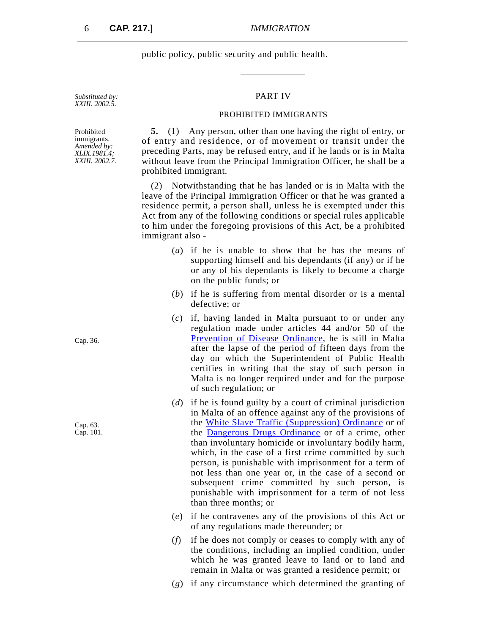public policy, public security and public health.

## PART IV

#### PROHIBITED IMMIGRANTS

**5.** (1) Any person, other than one having the right of entry, or of entry and residence, or of movement or transit under the preceding Parts, may be refused entry, and if he lands or is in Malta without leave from the Principal Immigration Officer, he shall be a prohibited immigrant.

(2) Notwithstanding that he has landed or is in Malta with the leave of the Principal Immigration Officer or that he was granted a residence permit, a person shall, unless he is exempted under this Act from any of the following conditions or special rules applicable to him under the foregoing provisions of this Act, be a prohibited immigrant also -

- (*a*) if he is unable to show that he has the means of supporting himself and his dependants (if any) or if he or any of his dependants is likely to become a charge on the public funds; or
- (*b*) if he is suffering from mental disorder or is a mental defective; or
- (*c*) if, having landed in Malta pursuant to or under any regulation made under articles 44 and/or 50 of the [Prevention of Disease Ordinance,](http://www.justiceservices.gov.mt/DownloadDocument.aspx?app=lom&itemid=8595&l=1) he is still in Malta after the lapse of the period of fifteen days from the day on which the Superintendent of Public Health certifies in writing that the stay of such person in Malta is no longer required under and for the purpose of such regulation; or
- (*d*) if he is found guilty by a court of criminal jurisdiction in Malta of an offence against any of the provisions of the [White Slave Traffic \(Suppression\) Ordinance](http://www.justiceservices.gov.mt/DownloadDocument.aspx?app=lom&itemid=8614&l=1) or of the [Dangerous Drugs Ordinance](http://www.justiceservices.gov.mt/DownloadDocument.aspx?app=lom&itemid=8641&l=1) or of a crime, other than involuntary homicide or involuntary bodily harm, which, in the case of a first crime committed by such person, is punishable with imprisonment for a term of not less than one year or, in the case of a second or subsequent crime committed by such person, is punishable with imprisonment for a term of not less than three months; or
- (*e*) if he contravenes any of the provisions of this Act or of any regulations made thereunder; or
- (*f*) if he does not comply or ceases to comply with any of the conditions, including an implied condition, under which he was granted leave to land or to land and remain in Malta or was granted a residence permit; or
- (*g*) if any circumstance which determined the granting of

Prohibited immigrants. *Amended by: XLIX.1981.4; XXIII. 2002.7.*

*Substituted by: XXIII. 2002.5.*

Cap. 36.

Cap. 63. Cap. 101.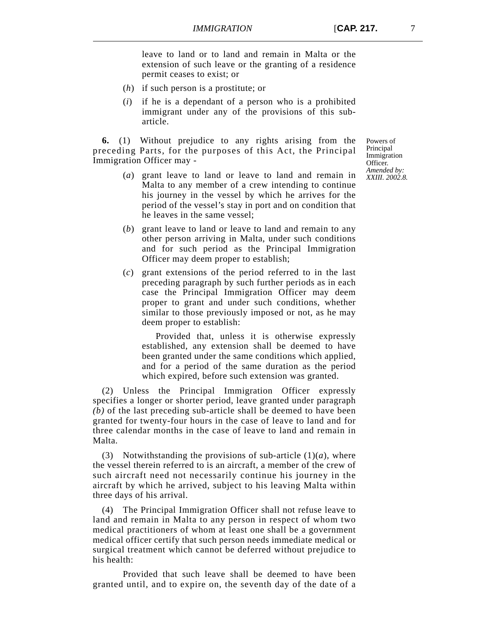leave to land or to land and remain in Malta or the extension of such leave or the granting of a residence permit ceases to exist; or

- (*h*) if such person is a prostitute; or
- (*i*) if he is a dependant of a person who is a prohibited immigrant under any of the provisions of this subarticle.

**6.** (1) Without prejudice to any rights arising from the preceding Parts, for the purposes of this Act, the Principal Immigration Officer may -

- (*a*) grant leave to land or leave to land and remain in Malta to any member of a crew intending to continue his journey in the vessel by which he arrives for the period of the vessel's stay in port and on condition that he leaves in the same vessel;
- (*b*) grant leave to land or leave to land and remain to any other person arriving in Malta, under such conditions and for such period as the Principal Immigration Officer may deem proper to establish;
- (*c*) grant extensions of the period referred to in the last preceding paragraph by such further periods as in each case the Principal Immigration Officer may deem proper to grant and under such conditions, whether similar to those previously imposed or not, as he may deem proper to establish:

Provided that, unless it is otherwise expressly established, any extension shall be deemed to have been granted under the same conditions which applied, and for a period of the same duration as the period which expired, before such extension was granted.

(2) Unless the Principal Immigration Officer expressly specifies a longer or shorter period, leave granted under paragraph *(b)* of the last preceding sub-article shall be deemed to have been granted for twenty-four hours in the case of leave to land and for three calendar months in the case of leave to land and remain in Malta.

(3) Notwithstanding the provisions of sub-article  $(1)(a)$ , where the vessel therein referred to is an aircraft, a member of the crew of such aircraft need not necessarily continue his journey in the aircraft by which he arrived, subject to his leaving Malta within three days of his arrival.

(4) The Principal Immigration Officer shall not refuse leave to land and remain in Malta to any person in respect of whom two medical practitioners of whom at least one shall be a government medical officer certify that such person needs immediate medical or surgical treatment which cannot be deferred without prejudice to his health:

Provided that such leave shall be deemed to have been granted until, and to expire on, the seventh day of the date of a

Powers of Principal Immigration Officer. *Amended by: XXIII. 2002.8.*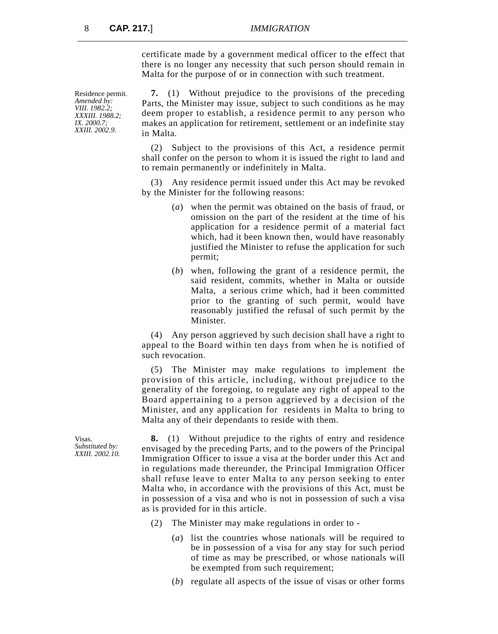certificate made by a government medical officer to the effect that there is no longer any necessity that such person should remain in Malta for the purpose of or in connection with such treatment.

Residence permit. *Amended by: VIII. 1982.2; XXXIII. 1988.2; IX. 2000.7; XXIII. 2002.9.*

**7.** (1) Without prejudice to the provisions of the preceding Parts, the Minister may issue, subject to such conditions as he may deem proper to establish, a residence permit to any person who makes an application for retirement, settlement or an indefinite stay in Malta.

(2) Subject to the provisions of this Act, a residence permit shall confer on the person to whom it is issued the right to land and to remain permanently or indefinitely in Malta.

(3) Any residence permit issued under this Act may be revoked by the Minister for the following reasons:

- (*a*) when the permit was obtained on the basis of fraud, or omission on the part of the resident at the time of his application for a residence permit of a material fact which, had it been known then, would have reasonably justified the Minister to refuse the application for such permit;
- (*b*) when, following the grant of a residence permit, the said resident, commits, whether in Malta or outside Malta, a serious crime which, had it been committed prior to the granting of such permit, would have reasonably justified the refusal of such permit by the Minister.

(4) Any person aggrieved by such decision shall have a right to appeal to the Board within ten days from when he is notified of such revocation.

(5) The Minister may make regulations to implement the provision of this article, including, without prejudice to the generality of the foregoing, to regulate any right of appeal to the Board appertaining to a person aggrieved by a decision of the Minister, and any application for residents in Malta to bring to Malta any of their dependants to reside with them.

**8.** (1) Without prejudice to the rights of entry and residence envisaged by the preceding Parts, and to the powers of the Principal Immigration Officer to issue a visa at the border under this Act and in regulations made thereunder, the Principal Immigration Officer shall refuse leave to enter Malta to any person seeking to enter Malta who, in accordance with the provisions of this Act, must be in possession of a visa and who is not in possession of such a visa as is provided for in this article.

- (2) The Minister may make regulations in order to
	- (*a*) list the countries whose nationals will be required to be in possession of a visa for any stay for such period of time as may be prescribed, or whose nationals will be exempted from such requirement;
	- (*b*) regulate all aspects of the issue of visas or other forms

Visas. *Substituted by: XXIII. 2002.10.*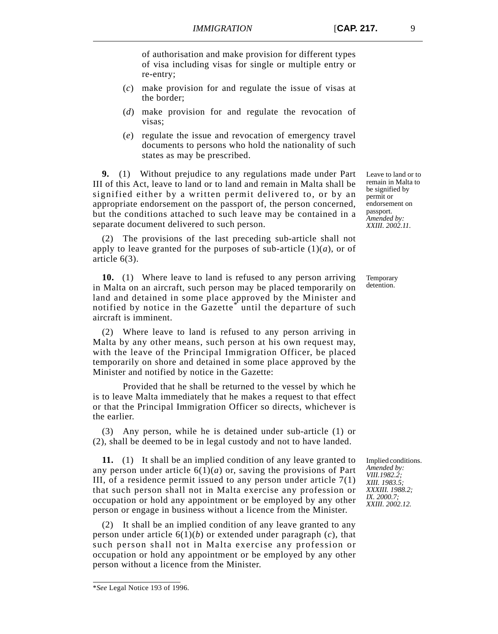of authorisation and make provision for different types of visa including visas for single or multiple entry or re-entry;

- (*c*) make provision for and regulate the issue of visas at the border;
- (*d*) make provision for and regulate the revocation of visas;
- (*e*) regulate the issue and revocation of emergency travel documents to persons who hold the nationality of such states as may be prescribed.

**9.** (1) Without prejudice to any regulations made under Part III of this Act, leave to land or to land and remain in Malta shall be signified either by a written permit delivered to, or by an appropriate endorsement on the passport of, the person concerned, but the conditions attached to such leave may be contained in a separate document delivered to such person.

(2) The provisions of the last preceding sub-article shall not apply to leave granted for the purposes of sub-article  $(1)(a)$ , or of article 6(3).

**10.** (1) Where leave to land is refused to any person arriving in Malta on an aircraft, such person may be placed temporarily on land and detained in some place approved by the Minister and notified by notice in the Gazette<sup>\*</sup> until the departure of such aircraft is imminent.

(2) Where leave to land is refused to any person arriving in Malta by any other means, such person at his own request may, with the leave of the Principal Immigration Officer, be placed temporarily on shore and detained in some place approved by the Minister and notified by notice in the Gazette:

Provided that he shall be returned to the vessel by which he is to leave Malta immediately that he makes a request to that effect or that the Principal Immigration Officer so directs, whichever is the earlier.

(3) Any person, while he is detained under sub-article (1) or (2), shall be deemed to be in legal custody and not to have landed.

**11.** (1) It shall be an implied condition of any leave granted to any person under article  $6(1)(a)$  or, saving the provisions of Part III, of a residence permit issued to any person under article  $7(1)$ that such person shall not in Malta exercise any profession or occupation or hold any appointment or be employed by any other person or engage in business without a licence from the Minister.

(2) It shall be an implied condition of any leave granted to any person under article 6(1)(*b*) or extended under paragraph (*c*), that such person shall not in Malta exercise any profession or occupation or hold any appointment or be employed by any other person without a licence from the Minister.

Temporary detention.

Implied conditions. *Amended by: VIII.1982.2; XIII. 1983.5; XXXIII. 1988.2; IX. 2000.7; XXIII. 2002.12.*

Leave to land or to remain in Malta to be signified by permit or endorsement on passport. *Amended by: XXIII. 2002.11.*

<sup>\*</sup>*See* Legal Notice 193 of 1996.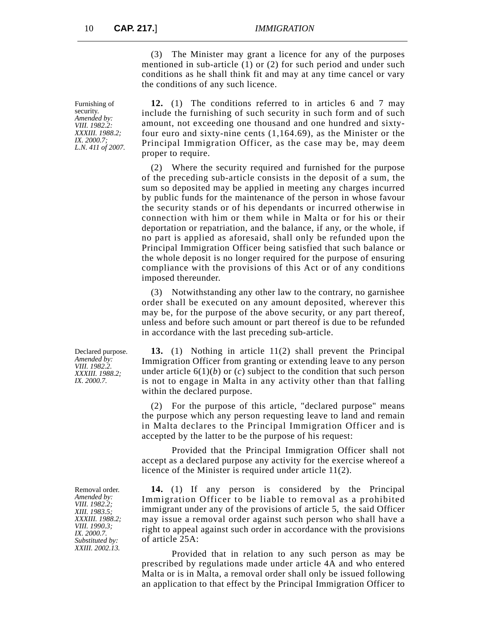(3) The Minister may grant a licence for any of the purposes mentioned in sub-article (1) or (2) for such period and under such conditions as he shall think fit and may at any time cancel or vary the conditions of any such licence.

**12.** (1) The conditions referred to in articles 6 and 7 may include the furnishing of such security in such form and of such amount, not exceeding one thousand and one hundred and sixtyfour euro and sixty-nine cents (1,164.69), as the Minister or the Principal Immigration Officer, as the case may be, may deem proper to require.

(2) Where the security required and furnished for the purpose of the preceding sub-article consists in the deposit of a sum, the sum so deposited may be applied in meeting any charges incurred by public funds for the maintenance of the person in whose favour the security stands or of his dependants or incurred otherwise in connection with him or them while in Malta or for his or their deportation or repatriation, and the balance, if any, or the whole, if no part is applied as aforesaid, shall only be refunded upon the Principal Immigration Officer being satisfied that such balance or the whole deposit is no longer required for the purpose of ensuring compliance with the provisions of this Act or of any conditions imposed thereunder.

(3) Notwithstanding any other law to the contrary, no garnishee order shall be executed on any amount deposited, wherever this may be, for the purpose of the above security, or any part thereof, unless and before such amount or part thereof is due to be refunded in accordance with the last preceding sub-article.

**13.** (1) Nothing in article 11(2) shall prevent the Principal Immigration Officer from granting or extending leave to any person under article  $6(1)(b)$  or  $(c)$  subject to the condition that such person is not to engage in Malta in any activity other than that falling within the declared purpose.

(2) For the purpose of this article, "declared purpose" means the purpose which any person requesting leave to land and remain in Malta declares to the Principal Immigration Officer and is accepted by the latter to be the purpose of his request:

Provided that the Principal Immigration Officer shall not accept as a declared purpose any activity for the exercise whereof a licence of the Minister is required under article 11(2).

**14.** (1) If any person is considered by the Principal Immigration Officer to be liable to removal as a prohibited immigrant under any of the provisions of article 5, the said Officer may issue a removal order against such person who shall have a right to appeal against such order in accordance with the provisions of article 25A:

Provided that in relation to any such person as may be prescribed by regulations made under article 4A and who entered Malta or is in Malta, a removal order shall only be issued following an application to that effect by the Principal Immigration Officer to

Furnishing of security. *Amended by: VIII. 1982.2: XXXIII. 1988.2; IX. 2000.7; L.N. 411 of 2007.*

Declared purpose. *Amended by: VIII. 1982.2. XXXIII. 1988.2; IX. 2000.7.*

Removal order. *Amended by: VIII. 1982.2; XIII. 1983.5; XXXIII. 1988.2; VIII. 1990.3; IX. 2000.7. Substituted by: XXIII. 2002.13.*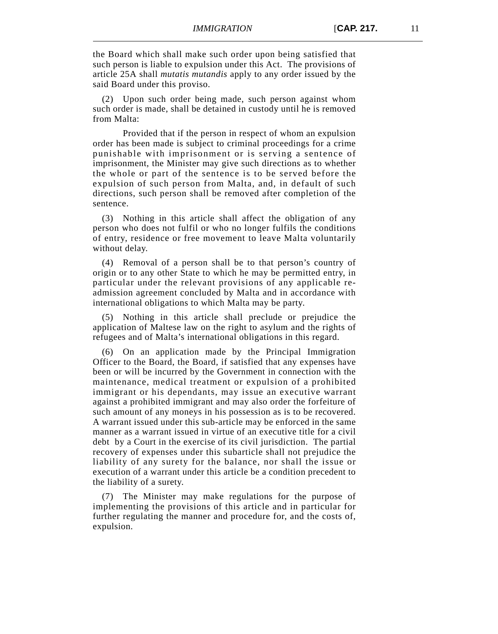the Board which shall make such order upon being satisfied that such person is liable to expulsion under this Act. The provisions of article 25A shall *mutatis mutandis* apply to any order issued by the said Board under this proviso.

(2) Upon such order being made, such person against whom such order is made, shall be detained in custody until he is removed from Malta:

Provided that if the person in respect of whom an expulsion order has been made is subject to criminal proceedings for a crime punishable with imprisonment or is serving a sentence of imprisonment, the Minister may give such directions as to whether the whole or part of the sentence is to be served before the expulsion of such person from Malta, and, in default of such directions, such person shall be removed after completion of the sentence.

(3) Nothing in this article shall affect the obligation of any person who does not fulfil or who no longer fulfils the conditions of entry, residence or free movement to leave Malta voluntarily without delay.

(4) Removal of a person shall be to that person's country of origin or to any other State to which he may be permitted entry, in particular under the relevant provisions of any applicable readmission agreement concluded by Malta and in accordance with international obligations to which Malta may be party.

(5) Nothing in this article shall preclude or prejudice the application of Maltese law on the right to asylum and the rights of refugees and of Malta's international obligations in this regard.

(6) On an application made by the Principal Immigration Officer to the Board, the Board, if satisfied that any expenses have been or will be incurred by the Government in connection with the maintenance, medical treatment or expulsion of a prohibited immigrant or his dependants, may issue an executive warrant against a prohibited immigrant and may also order the forfeiture of such amount of any moneys in his possession as is to be recovered. A warrant issued under this sub-article may be enforced in the same manner as a warrant issued in virtue of an executive title for a civil debt by a Court in the exercise of its civil jurisdiction. The partial recovery of expenses under this subarticle shall not prejudice the liability of any surety for the balance, nor shall the issue or execution of a warrant under this article be a condition precedent to the liability of a surety.

(7) The Minister may make regulations for the purpose of implementing the provisions of this article and in particular for further regulating the manner and procedure for, and the costs of, expulsion.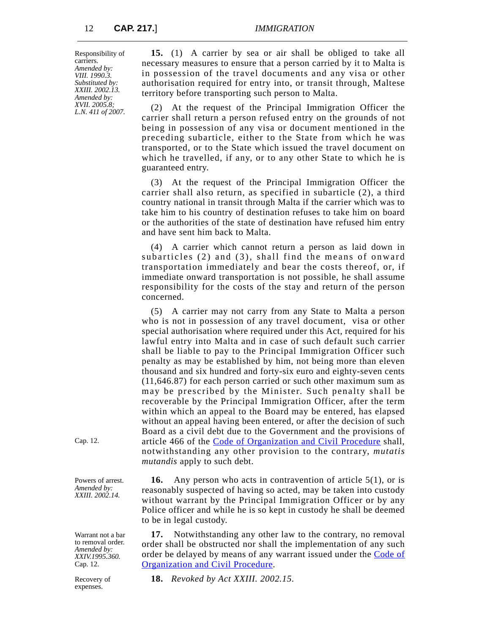Responsibility of carriers. *Amended by: VIII. 1990.3. Substituted by: XXIII. 2002.13. Amended by: XVII. 2005.8; L.N. 411 of 2007.*

**15.** (1) A carrier by sea or air shall be obliged to take all necessary measures to ensure that a person carried by it to Malta is in possession of the travel documents and any visa or other authorisation required for entry into, or transit through, Maltese territory before transporting such person to Malta.

(2) At the request of the Principal Immigration Officer the carrier shall return a person refused entry on the grounds of not being in possession of any visa or document mentioned in the preceding subarticle, either to the State from which he was transported, or to the State which issued the travel document on which he travelled, if any, or to any other State to which he is guaranteed entry.

(3) At the request of the Principal Immigration Officer the carrier shall also return, as specified in subarticle (2), a third country national in transit through Malta if the carrier which was to take him to his country of destination refuses to take him on board or the authorities of the state of destination have refused him entry and have sent him back to Malta.

(4) A carrier which cannot return a person as laid down in subarticles (2) and (3), shall find the means of onward transportation immediately and bear the costs thereof, or, if immediate onward transportation is not possible, he shall assume responsibility for the costs of the stay and return of the person concerned.

(5) A carrier may not carry from any State to Malta a person who is not in possession of any travel document, visa or other special authorisation where required under this Act, required for his lawful entry into Malta and in case of such default such carrier shall be liable to pay to the Principal Immigration Officer such penalty as may be established by him, not being more than eleven thousand and six hundred and forty-six euro and eighty-seven cents (11,646.87) for each person carried or such other maximum sum as may be prescribed by the Minister. Such penalty shall be recoverable by the Principal Immigration Officer, after the term within which an appeal to the Board may be entered, has elapsed without an appeal having been entered, or after the decision of such Board as a civil debt due to the Government and the provisions of article 466 of the [Code of Organization and Civil Procedure](http://www.justiceservices.gov.mt/DownloadDocument.aspx?app=lom&itemid=8577&l=1) shall, notwithstanding any other provision to the contrary, *mutatis mutandis* apply to such debt.

**16.** Any person who acts in contravention of article 5(1), or is reasonably suspected of having so acted, may be taken into custody without warrant by the Principal Immigration Officer or by any Police officer and while he is so kept in custody he shall be deemed

**17.** Notwithstanding any other law to the contrary, no removal order shall be obstructed nor shall the implementation of any such order be delayed by means of any warrant issued under the [Code of](http://www.justiceservices.gov.mt/DownloadDocument.aspx?app=lom&itemid=8577&l=1) [Organization and Civil Procedure.](http://www.justiceservices.gov.mt/DownloadDocument.aspx?app=lom&itemid=8577&l=1)

**18.** *Revoked by Act XXIII. 2002.15.*

to be in legal custody.

Cap. 12.

Powers of arrest. *Amended by: XXIII. 2002.14.*

Warrant not a bar to removal order. *Amended by: XXIV.1995.360.* Cap. 12.

Recovery of expenses.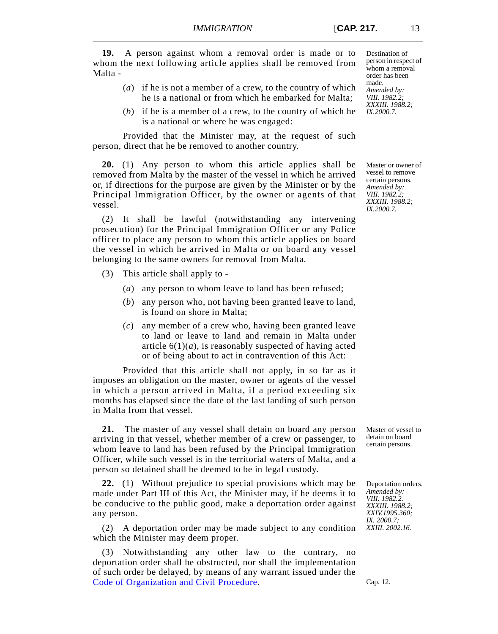**19.** A person against whom a removal order is made or to whom the next following article applies shall be removed from Malta -

- (*a*) if he is not a member of a crew, to the country of which he is a national or from which he embarked for Malta;
- (*b*) if he is a member of a crew, to the country of which he is a national or where he was engaged:

Provided that the Minister may, at the request of such person, direct that he be removed to another country.

**20.** (1) Any person to whom this article applies shall be removed from Malta by the master of the vessel in which he arrived or, if directions for the purpose are given by the Minister or by the Principal Immigration Officer, by the owner or agents of that vessel.

(2) It shall be lawful (notwithstanding any intervening prosecution) for the Principal Immigration Officer or any Police officer to place any person to whom this article applies on board the vessel in which he arrived in Malta or on board any vessel belonging to the same owners for removal from Malta.

- (3) This article shall apply to
	- (*a*) any person to whom leave to land has been refused;
	- (*b*) any person who, not having been granted leave to land, is found on shore in Malta;
	- (*c*) any member of a crew who, having been granted leave to land or leave to land and remain in Malta under article  $6(1)(a)$ , is reasonably suspected of having acted or of being about to act in contravention of this Act:

Provided that this article shall not apply, in so far as it imposes an obligation on the master, owner or agents of the vessel in which a person arrived in Malta, if a period exceeding six months has elapsed since the date of the last landing of such person in Malta from that vessel.

**21.** The master of any vessel shall detain on board any person arriving in that vessel, whether member of a crew or passenger, to whom leave to land has been refused by the Principal Immigration Officer, while such vessel is in the territorial waters of Malta, and a person so detained shall be deemed to be in legal custody.

**22.** (1) Without prejudice to special provisions which may be made under Part III of this Act, the Minister may, if he deems it to be conducive to the public good, make a deportation order against any person.

(2) A deportation order may be made subject to any condition which the Minister may deem proper.

(3) Notwithstanding any other law to the contrary, no deportation order shall be obstructed, nor shall the implementation of such order be delayed, by means of any warrant issued under the [Code of Organization and Civil Procedure.](http://www.justiceservices.gov.mt/DownloadDocument.aspx?app=lom&itemid=8577&l=1)

Destination of person in respect of whom a removal order has been made. *Amended by: VIII. 1982.2; XXXIII. 1988.2; IX.2000.7.*

Master or owner of vessel to remove certain persons. *Amended by: VIII. 1982.2; XXXIII. 1988.2; IX.2000.7.*

Master of vessel to detain on board certain persons.

Deportation orders. *Amended by: VIII. 1982.2. XXXIII. 1988.2; XXIV.1995.360; IX. 2000.7; XXIII. 2002.16.*

Cap. 12.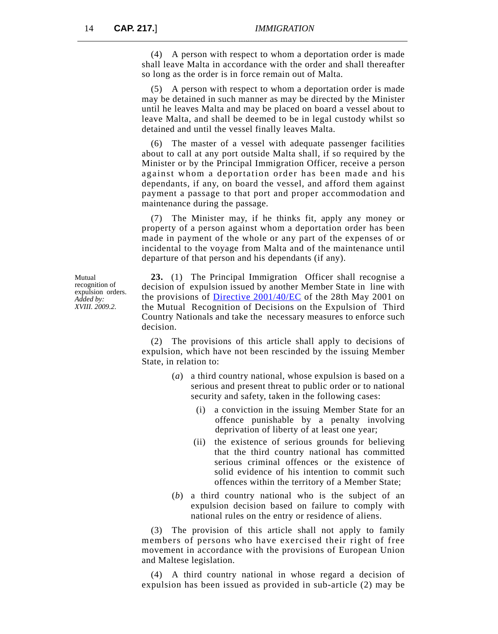(4) A person with respect to whom a deportation order is made shall leave Malta in accordance with the order and shall thereafter so long as the order is in force remain out of Malta.

(5) A person with respect to whom a deportation order is made may be detained in such manner as may be directed by the Minister until he leaves Malta and may be placed on board a vessel about to leave Malta, and shall be deemed to be in legal custody whilst so detained and until the vessel finally leaves Malta.

(6) The master of a vessel with adequate passenger facilities about to call at any port outside Malta shall, if so required by the Minister or by the Principal Immigration Officer, receive a person against whom a deportation order has been made and his dependants, if any, on board the vessel, and afford them against payment a passage to that port and proper accommodation and maintenance during the passage.

(7) The Minister may, if he thinks fit, apply any money or property of a person against whom a deportation order has been made in payment of the whole or any part of the expenses of or incidental to the voyage from Malta and of the maintenance until departure of that person and his dependants (if any).

**23.** (1) The Principal Immigration Officer shall recognise a decision of expulsion issued by another Member State in line with the provisions of [Directive 2001/40/EC](http://eur-lex.europa.eu/LexUriServ/LexUriServ.do?uri=OJ:L:2001:149:0034:0036:EN:PDF) of the 28th May 2001 on the Mutual Recognition of Decisions on the Expulsion of Third Country Nationals and take the necessary measures to enforce such decision.

(2) The provisions of this article shall apply to decisions of expulsion, which have not been rescinded by the issuing Member State, in relation to:

- (*a*) a third country national, whose expulsion is based on a serious and present threat to public order or to national security and safety, taken in the following cases:
	- (i) a conviction in the issuing Member State for an offence punishable by a penalty involving deprivation of liberty of at least one year;
	- (ii) the existence of serious grounds for believing that the third country national has committed serious criminal offences or the existence of solid evidence of his intention to commit such offences within the territory of a Member State;
- (*b*) a third country national who is the subject of an expulsion decision based on failure to comply with national rules on the entry or residence of aliens.

(3) The provision of this article shall not apply to family members of persons who have exercised their right of free movement in accordance with the provisions of European Union and Maltese legislation.

(4) A third country national in whose regard a decision of expulsion has been issued as provided in sub-article (2) may be

Mutual recognition of expulsion orders. *Added by: XVIII. 2009.2.*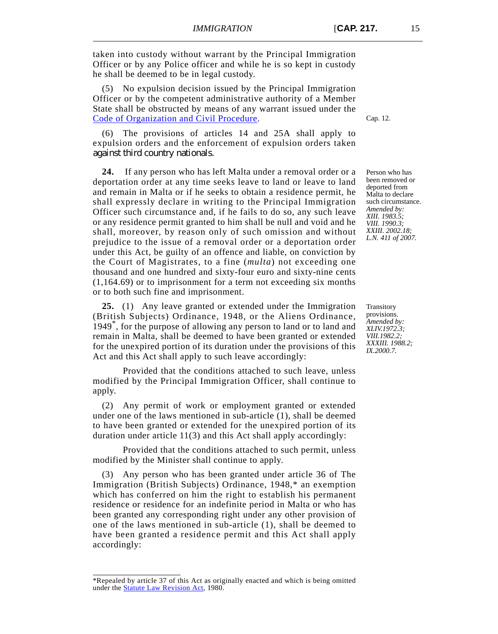taken into custody without warrant by the Principal Immigration Officer or by any Police officer and while he is so kept in custody he shall be deemed to be in legal custody.

(5) No expulsion decision issued by the Principal Immigration Officer or by the competent administrative authority of a Member State shall be obstructed by means of any warrant issued under the [Code of Organization and Civil Procedure.](http://www.justiceservices.gov.mt/DownloadDocument.aspx?app=lom&itemid=8577&l=1)

(6) The provisions of articles 14 and 25A shall apply to expulsion orders and the enforcement of expulsion orders taken against third country nationals.

**24.** If any person who has left Malta under a removal order or a deportation order at any time seeks leave to land or leave to land and remain in Malta or if he seeks to obtain a residence permit, he shall expressly declare in writing to the Principal Immigration Officer such circumstance and, if he fails to do so, any such leave or any residence permit granted to him shall be null and void and he shall, moreover, by reason only of such omission and without prejudice to the issue of a removal order or a deportation order under this Act, be guilty of an offence and liable, on conviction by the Court of Magistrates, to a fine (*multa*) not exceeding one thousand and one hundred and sixty-four euro and sixty-nine cents (1,164.69) or to imprisonment for a term not exceeding six months or to both such fine and imprisonment.

**25.** (1) Any leave granted or extended under the Immigration (British Subjects) Ordinance, 1948, or the Aliens Ordinance, 1949\*, for the purpose of allowing any person to land or to land and remain in Malta, shall be deemed to have been granted or extended for the unexpired portion of its duration under the provisions of this Act and this Act shall apply to such leave accordingly:

Provided that the conditions attached to such leave, unless modified by the Principal Immigration Officer, shall continue to apply.

(2) Any permit of work or employment granted or extended under one of the laws mentioned in sub-article (1), shall be deemed to have been granted or extended for the unexpired portion of its duration under article 11(3) and this Act shall apply accordingly:

Provided that the conditions attached to such permit, unless modified by the Minister shall continue to apply.

(3) Any person who has been granted under article 36 of The Immigration (British Subjects) Ordinance, 1948,\* an exemption which has conferred on him the right to establish his permanent residence or residence for an indefinite period in Malta or who has been granted any corresponding right under any other provision of one of the laws mentioned in sub-article (1), shall be deemed to have been granted a residence permit and this Act shall apply accordingly:

Person who has been removed or deported from Malta to declare such circumstance. *Amended by: XIII. 1983.5; VIII. 1990.3; XXIII. 2002.18; L.N. 411 of 2007.*

**Transitory** provisions. *Amended by: XLIV.1972.3; VIII.1982.2; XXXIII. 1988.2; IX.2000.7.*

<sup>\*</sup>Repealed by article 37 of this Act as originally enacted and which is being omitted under the **Statute Law Revision Act**, 1980.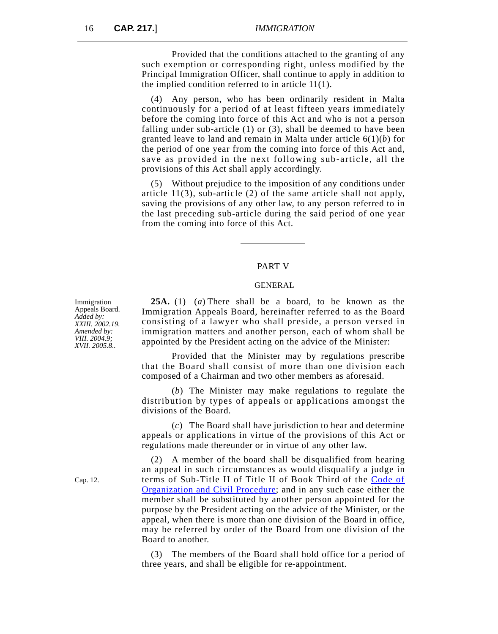Provided that the conditions attached to the granting of any such exemption or corresponding right, unless modified by the Principal Immigration Officer, shall continue to apply in addition to the implied condition referred to in article 11(1).

(4) Any person, who has been ordinarily resident in Malta continuously for a period of at least fifteen years immediately before the coming into force of this Act and who is not a person falling under sub-article (1) or (3), shall be deemed to have been granted leave to land and remain in Malta under article 6(1)(*b*) for the period of one year from the coming into force of this Act and, save as provided in the next following sub-article, all the provisions of this Act shall apply accordingly.

(5) Without prejudice to the imposition of any conditions under article 11(3), sub-article (2) of the same article shall not apply, saving the provisions of any other law, to any person referred to in the last preceding sub-article during the said period of one year from the coming into force of this Act.

#### PART V

#### GENERAL

**25A.** (1) (*a*) There shall be a board, to be known as the Immigration Appeals Board, hereinafter referred to as the Board consisting of a lawyer who shall preside, a person versed in immigration matters and another person, each of whom shall be appointed by the President acting on the advice of the Minister:

Provided that the Minister may by regulations prescribe that the Board shall consist of more than one division each composed of a Chairman and two other members as aforesaid.

(*b*) The Minister may make regulations to regulate the distribution by types of appeals or applications amongst the divisions of the Board.

(*c*) The Board shall have jurisdiction to hear and determine appeals or applications in virtue of the provisions of this Act or regulations made thereunder or in virtue of any other law.

(2) A member of the board shall be disqualified from hearing an appeal in such circumstances as would disqualify a judge in terms of Sub-Title II of Title II of Book Third of the [Code of](http://www.justiceservices.gov.mt/DownloadDocument.aspx?app=lom&itemid=8577&l=1) [Organization and Civil Procedure](http://www.justiceservices.gov.mt/DownloadDocument.aspx?app=lom&itemid=8577&l=1); and in any such case either the member shall be substituted by another person appointed for the purpose by the President acting on the advice of the Minister, or the appeal, when there is more than one division of the Board in office, may be referred by order of the Board from one division of the Board to another.

(3) The members of the Board shall hold office for a period of three years, and shall be eligible for re-appointment.

Immigration Appeals Board. *Added by: XXIII. 2002.19. Amended by: VIII. 2004.9; XVII. 2005.8..*

Cap. 12.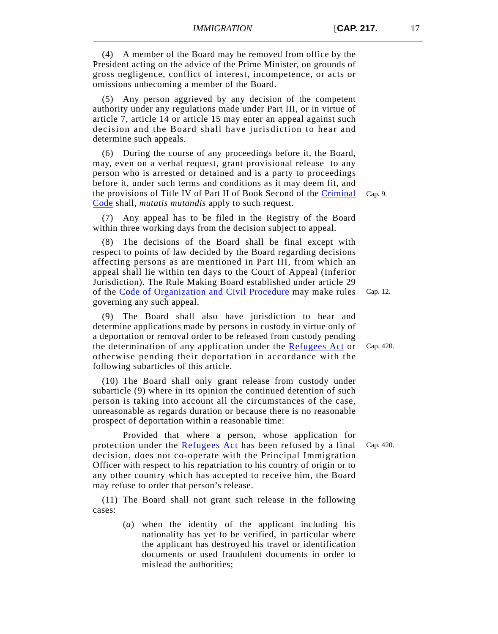(4) A member of the Board may be removed from office by the President acting on the advice of the Prime Minister, on grounds of gross negligence, conflict of interest, incompetence, or acts or omissions unbecoming a member of the Board.

(5) Any person aggrieved by any decision of the competent authority under any regulations made under Part III, or in virtue of article 7, article 14 or article 15 may enter an appeal against such decision and the Board shall have jurisdiction to hear and determine such appeals.

(6) During the course of any proceedings before it, the Board, may, even on a verbal request, grant provisional release to any person who is arrested or detained and is a party to proceedings before it, under such terms and conditions as it may deem fit, and the provisions of Title IV of Part II of Book Second of the [Criminal](http://www.justiceservices.gov.mt/DownloadDocument.aspx?app=lom&itemid=8574&l=1) [Code](http://www.justiceservices.gov.mt/DownloadDocument.aspx?app=lom&itemid=8574&l=1) shall, *mutatis mutandis* apply to such request.

(7) Any appeal has to be filed in the Registry of the Board within three working days from the decision subject to appeal.

(8) The decisions of the Board shall be final except with respect to points of law decided by the Board regarding decisions affecting persons as are mentioned in Part III, from which an appeal shall lie within ten days to the Court of Appeal (Inferior Jurisdiction). The Rule Making Board established under article 29 of the [Code of Organization and Civil Procedure](http://www.justiceservices.gov.mt/DownloadDocument.aspx?app=lom&itemid=8577&l=1) may make rules governing any such appeal.

(9) The Board shall also have jurisdiction to hear and determine applications made by persons in custody in virtue only of a deportation or removal order to be released from custody pending the determination of any application under the [Refugees Act](http://www.justiceservices.gov.mt/DownloadDocument.aspx?app=lom&itemid=8886&l=1) or otherwise pending their deportation in accordance with the following subarticles of this article.

(10) The Board shall only grant release from custody under subarticle (9) where in its opinion the continued detention of such person is taking into account all the circumstances of the case, unreasonable as regards duration or because there is no reasonable prospect of deportation within a reasonable time:

Provided that where a person, whose application for protection under the [Refugees Act](http://www.justiceservices.gov.mt/DownloadDocument.aspx?app=lom&itemid=8886&l=1) has been refused by a final decision, does not co-operate with the Principal Immigration Officer with respect to his repatriation to his country of origin or to any other country which has accepted to receive him, the Board may refuse to order that person's release.

(11) The Board shall not grant such release in the following cases:

> (*a*) when the identity of the applicant including his nationality has yet to be verified, in particular where the applicant has destroyed his travel or identification documents or used fraudulent documents in order to mislead the authorities;

Cap. 420.

Cap. 12.

Cap. 420.

Cap. 9.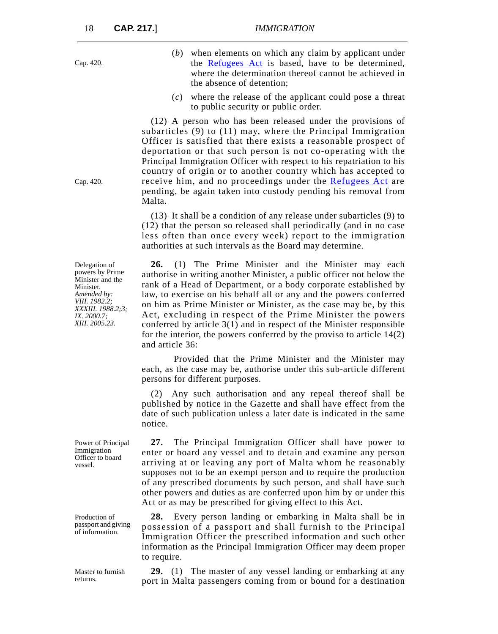- (*b*) when elements on which any claim by applicant under the [Refugees Act](http://www.justiceservices.gov.mt/DownloadDocument.aspx?app=lom&itemid=8886&l=1) is based, have to be determined, where the determination thereof cannot be achieved in the absence of detention;
- (*c*) where the release of the applicant could pose a threat to public security or public order.

(12) A person who has been released under the provisions of subarticles (9) to (11) may, where the Principal Immigration Officer is satisfied that there exists a reasonable prospect of deportation or that such person is not co-operating with the Principal Immigration Officer with respect to his repatriation to his country of origin or to another country which has accepted to receive him, and no proceedings under the [Refugees Act](http://www.justiceservices.gov.mt/DownloadDocument.aspx?app=lom&itemid=8886&l=1) are pending, be again taken into custody pending his removal from Malta.

(13) It shall be a condition of any release under subarticles (9) to (12) that the person so released shall periodically (and in no case less often than once every week) report to the immigration authorities at such intervals as the Board may determine.

**26.** (1) The Prime Minister and the Minister may each authorise in writing another Minister, a public officer not below the rank of a Head of Department, or a body corporate established by law, to exercise on his behalf all or any and the powers conferred on him as Prime Minister or Minister, as the case may be, by this Act, excluding in respect of the Prime Minister the powers conferred by article 3(1) and in respect of the Minister responsible for the interior, the powers conferred by the proviso to article 14(2) and article 36:

Provided that the Prime Minister and the Minister may each, as the case may be, authorise under this sub-article different persons for different purposes.

(2) Any such authorisation and any repeal thereof shall be published by notice in the Gazette and shall have effect from the date of such publication unless a later date is indicated in the same notice.

**27.** The Principal Immigration Officer shall have power to enter or board any vessel and to detain and examine any person arriving at or leaving any port of Malta whom he reasonably supposes not to be an exempt person and to require the production of any prescribed documents by such person, and shall have such other powers and duties as are conferred upon him by or under this Act or as may be prescribed for giving effect to this Act.

**28.** Every person landing or embarking in Malta shall be in possession of a passport and shall furnish to the Principal Immigration Officer the prescribed information and such other information as the Principal Immigration Officer may deem proper to require.

**29.** (1) The master of any vessel landing or embarking at any port in Malta passengers coming from or bound for a destination

Delegation of powers by Prime Minister and the Minister. *Amended by: VIII. 1982.2; XXXIII. 1988.2;3; IX. 2000.7;*

*XIII. 2005.23.*

Power of Principal Immigration Officer to board vessel.

Production of passport and giving of information.

Master to furnish returns.

Cap. 420.

Cap. 420.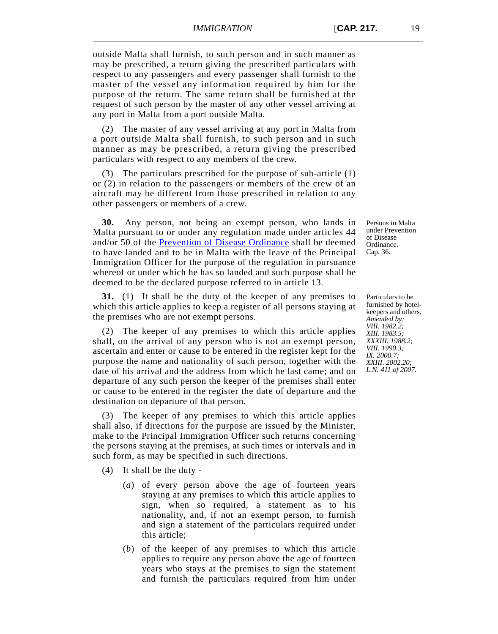outside Malta shall furnish, to such person and in such manner as may be prescribed, a return giving the prescribed particulars with respect to any passengers and every passenger shall furnish to the master of the vessel any information required by him for the purpose of the return. The same return shall be furnished at the request of such person by the master of any other vessel arriving at any port in Malta from a port outside Malta.

(2) The master of any vessel arriving at any port in Malta from a port outside Malta shall furnish, to such person and in such manner as may be prescribed, a return giving the prescribed particulars with respect to any members of the crew.

(3) The particulars prescribed for the purpose of sub-article (1) or (2) in relation to the passengers or members of the crew of an aircraft may be different from those prescribed in relation to any other passengers or members of a crew.

**30.** Any person, not being an exempt person, who lands in Malta pursuant to or under any regulation made under articles 44 and/or 50 of the [Prevention of Disease Ordinance](http://www.justiceservices.gov.mt/DownloadDocument.aspx?app=lom&itemid=8595&l=1) shall be deemed to have landed and to be in Malta with the leave of the Principal Immigration Officer for the purpose of the regulation in pursuance whereof or under which he has so landed and such purpose shall be deemed to be the declared purpose referred to in article 13.

**31.** (1) It shall be the duty of the keeper of any premises to which this article applies to keep a register of all persons staying at the premises who are not exempt persons.

(2) The keeper of any premises to which this article applies shall, on the arrival of any person who is not an exempt person, ascertain and enter or cause to be entered in the register kept for the purpose the name and nationality of such person, together with the date of his arrival and the address from which he last came; and on departure of any such person the keeper of the premises shall enter or cause to be entered in the register the date of departure and the destination on departure of that person.

(3) The keeper of any premises to which this article applies shall also, if directions for the purpose are issued by the Minister, make to the Principal Immigration Officer such returns concerning the persons staying at the premises, at such times or intervals and in such form, as may be specified in such directions.

(4) It shall be the duty -

- (*a*) of every person above the age of fourteen years staying at any premises to which this article applies to sign, when so required, a statement as to his nationality, and, if not an exempt person, to furnish and sign a statement of the particulars required under this article;
- (*b*) of the keeper of any premises to which this article applies to require any person above the age of fourteen years who stays at the premises to sign the statement and furnish the particulars required from him under

Persons in Malta under Prevention of Disease Ordinance. Cap. 36.

Particulars to be furnished by hotelkeepers and others. *Amended by: VIII. 1982.2; XIII. 1983.5; XXXIII. 1988.2; VIII. 1990.3; IX. 2000.7; XXIII. 2002.20; L.N. 411 of 2007.*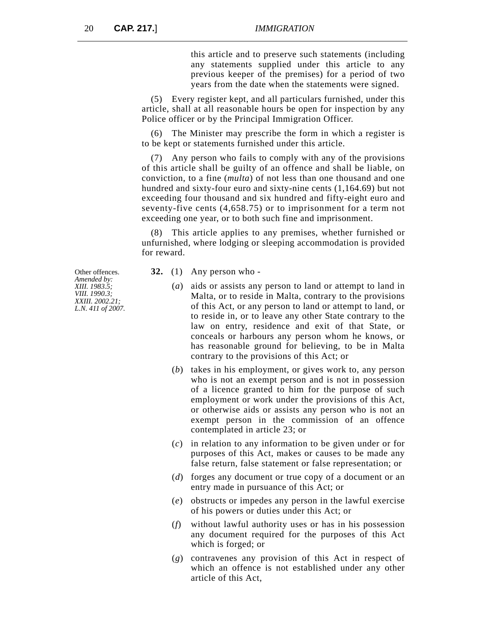this article and to preserve such statements (including any statements supplied under this article to any previous keeper of the premises) for a period of two years from the date when the statements were signed.

(5) Every register kept, and all particulars furnished, under this article, shall at all reasonable hours be open for inspection by any Police officer or by the Principal Immigration Officer.

(6) The Minister may prescribe the form in which a register is to be kept or statements furnished under this article.

(7) Any person who fails to comply with any of the provisions of this article shall be guilty of an offence and shall be liable, on conviction, to a fine (*multa*) of not less than one thousand and one hundred and sixty-four euro and sixty-nine cents (1,164.69) but not exceeding four thousand and six hundred and fifty-eight euro and seventy-five cents (4,658.75) or to imprisonment for a term not exceeding one year, or to both such fine and imprisonment.

(8) This article applies to any premises, whether furnished or unfurnished, where lodging or sleeping accommodation is provided for reward.

- **32.** (1) Any person who
	- (*a*) aids or assists any person to land or attempt to land in Malta, or to reside in Malta, contrary to the provisions of this Act, or any person to land or attempt to land, or to reside in, or to leave any other State contrary to the law on entry, residence and exit of that State, or conceals or harbours any person whom he knows, or has reasonable ground for believing, to be in Malta contrary to the provisions of this Act; or
	- (*b*) takes in his employment, or gives work to, any person who is not an exempt person and is not in possession of a licence granted to him for the purpose of such employment or work under the provisions of this Act, or otherwise aids or assists any person who is not an exempt person in the commission of an offence contemplated in article 23; or
	- (*c*) in relation to any information to be given under or for purposes of this Act, makes or causes to be made any false return, false statement or false representation; or
	- (*d*) forges any document or true copy of a document or an entry made in pursuance of this Act; or
	- (*e*) obstructs or impedes any person in the lawful exercise of his powers or duties under this Act; or
	- (*f*) without lawful authority uses or has in his possession any document required for the purposes of this Act which is forged; or
	- (*g*) contravenes any provision of this Act in respect of which an offence is not established under any other article of this Act,

Other offences. *Amended by: XIII. 1983.5; VIII. 1990.3; XXIII. 2002.21; L.N. 411 of 2007.*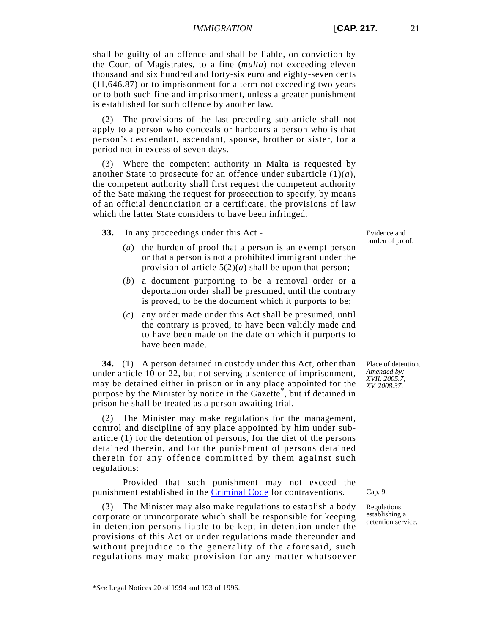shall be guilty of an offence and shall be liable, on conviction by the Court of Magistrates, to a fine (*multa*) not exceeding eleven thousand and six hundred and forty-six euro and eighty-seven cents (11,646.87) or to imprisonment for a term not exceeding two years or to both such fine and imprisonment, unless a greater punishment is established for such offence by another law.

(2) The provisions of the last preceding sub-article shall not apply to a person who conceals or harbours a person who is that person's descendant, ascendant, spouse, brother or sister, for a period not in excess of seven days.

(3) Where the competent authority in Malta is requested by another State to prosecute for an offence under subarticle (1)(*a*), the competent authority shall first request the competent authority of the Sate making the request for prosecution to specify, by means of an official denunciation or a certificate, the provisions of law which the latter State considers to have been infringed.

**33.** In any proceedings under this Act -

- (*a*) the burden of proof that a person is an exempt person or that a person is not a prohibited immigrant under the provision of article 5(2)(*a*) shall be upon that person;
- (*b*) a document purporting to be a removal order or a deportation order shall be presumed, until the contrary is proved, to be the document which it purports to be;
- (*c*) any order made under this Act shall be presumed, until the contrary is proved, to have been validly made and to have been made on the date on which it purports to have been made.

**34.** (1) A person detained in custody under this Act, other than under article 10 or 22, but not serving a sentence of imprisonment, may be detained either in prison or in any place appointed for the purpose by the Minister by notice in the Gazette<sup>\*</sup>, but if detained in prison he shall be treated as a person awaiting trial.

(2) The Minister may make regulations for the management, control and discipline of any place appointed by him under subarticle (1) for the detention of persons, for the diet of the persons detained therein, and for the punishment of persons detained therein for any offence committed by them against such regulations:

Provided that such punishment may not exceed the punishment established in the **[Criminal Code](http://www.justiceservices.gov.mt/DownloadDocument.aspx?app=lom&itemid=8574&l=1)** for contraventions.

(3) The Minister may also make regulations to establish a body corporate or unincorporate which shall be responsible for keeping in detention persons liable to be kept in detention under the provisions of this Act or under regulations made thereunder and without prejudice to the generality of the aforesaid, such regulations may make provision for any matter whatsoever

Place of detention. *Amended by: XVII. 2005.7; XV. 2008.37.*

Cap. 9.

Regulations establishing a detention service.

Evidence and burden of proof.

<sup>\*</sup>*See* Legal Notices 20 of 1994 and 193 of 1996.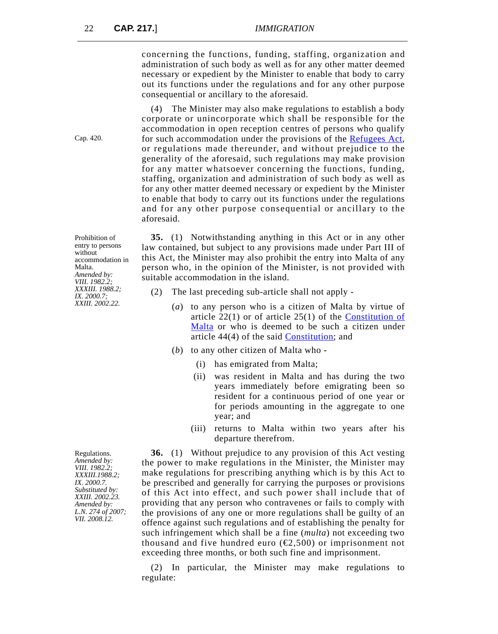concerning the functions, funding, staffing, organization and administration of such body as well as for any other matter deemed necessary or expedient by the Minister to enable that body to carry out its functions under the regulations and for any other purpose consequential or ancillary to the aforesaid.

(4) The Minister may also make regulations to establish a body corporate or unincorporate which shall be responsible for the accommodation in open reception centres of persons who qualify for such accommodation under the provisions of the [Refugees Act](http://www.justiceservices.gov.mt/DownloadDocument.aspx?app=lom&itemid=8886&l=1), or regulations made thereunder, and without prejudice to the generality of the aforesaid, such regulations may make provision for any matter whatsoever concerning the functions, funding, staffing, organization and administration of such body as well as for any other matter deemed necessary or expedient by the Minister to enable that body to carry out its functions under the regulations and for any other purpose consequential or ancillary to the aforesaid.

Prohibition of entry to persons without accommodation in Malta. *Amended by: VIII. 1982.2; XXXIII. 1988.2; IX. 2000.7; XXIII. 2002.22.*

Regulations. *Amended by: VIII. 1982.2; XXXIII.1988.2; IX. 2000.7. Substituted by: XXIII. 2002.23. Amended by: L.N. 274 of 2007; VII. 2008.12.*

**35.** (1) Notwithstanding anything in this Act or in any other law contained, but subject to any provisions made under Part III of this Act, the Minister may also prohibit the entry into Malta of any person who, in the opinion of the Minister, is not provided with suitable accommodation in the island.

- (2) The last preceding sub-article shall not apply
	- (*a*) to any person who is a citizen of Malta by virtue of article 22(1) or of article 25(1) of the [Constitution of](http://www.justiceservices.gov.mt/DownloadDocument.aspx?app=lom&itemid=8566&l=1) [Malta](http://www.justiceservices.gov.mt/DownloadDocument.aspx?app=lom&itemid=8566&l=1) or who is deemed to be such a citizen under article 44(4) of the said [Constitution](http://www.justiceservices.gov.mt/DownloadDocument.aspx?app=lom&itemid=8566&l=1); and
	- (*b*) to any other citizen of Malta who
		- (i) has emigrated from Malta;
		- (ii) was resident in Malta and has during the two years immediately before emigrating been so resident for a continuous period of one year or for periods amounting in the aggregate to one year; and
		- (iii) returns to Malta within two years after his departure therefrom.

**36.** (1) Without prejudice to any provision of this Act vesting the power to make regulations in the Minister, the Minister may make regulations for prescribing anything which is by this Act to be prescribed and generally for carrying the purposes or provisions of this Act into effect, and such power shall include that of providing that any person who contravenes or fails to comply with the provisions of any one or more regulations shall be guilty of an offence against such regulations and of establishing the penalty for such infringement which shall be a fine (*multa*) not exceeding two thousand and five hundred euro ( $\epsilon$ 2,500) or imprisonment not exceeding three months, or both such fine and imprisonment.

(2) In particular, the Minister may make regulations to regulate:

Cap. 420.